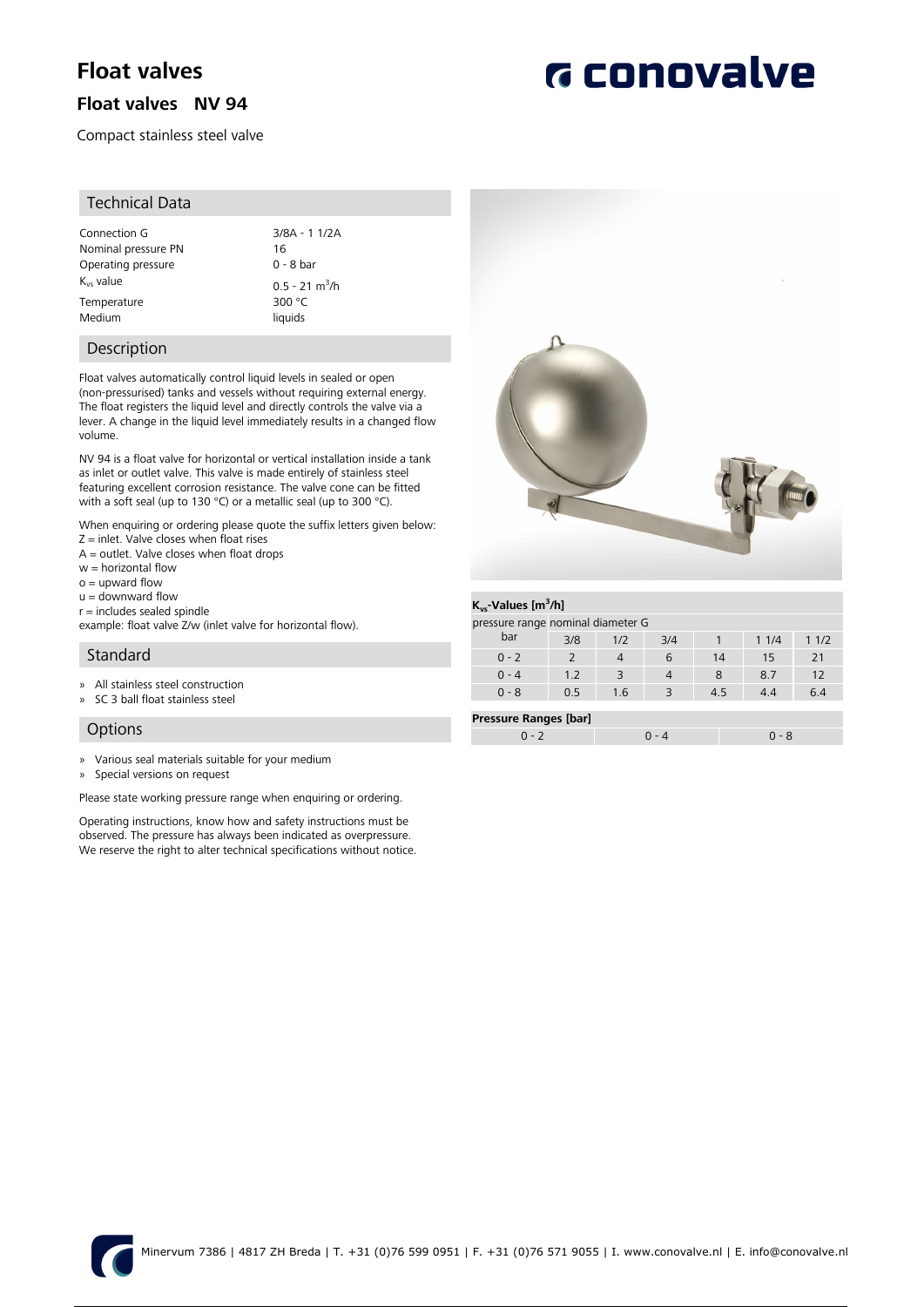# **Float valves**

### **Float valves NV 94**

Compact stainless steel valve

#### Technical Data

| Connection G          | $3/8A - 11/2A$               |
|-----------------------|------------------------------|
| Nominal pressure PN   | 16                           |
| Operating pressure    | 0 - 8 bar                    |
| K <sub>vs</sub> value | $0.5 - 21$ m <sup>3</sup> /h |
| Temperature           | 300 $\degree$ C              |
| Medium                | liquids                      |

3/8A - 1 1/2A<br>16  $0 - 8$  bar  $300 °C$ liquids

#### Description

Float valves automatically control liquid levels in sealed or open (non-pressurised) tanks and vessels without requiring external energy. The float registers the liquid level and directly controls the valve via a lever. A change in the liquid level immediately results in a changed flow volume.

NV 94 is a float valve for horizontal or vertical installation inside a tank as inlet or outlet valve. This valve is made entirely of stainless steel featuring excellent corrosion resistance. The valve cone can be fitted with a soft seal (up to 130 °C) or a metallic seal (up to 300 °C).

When enquiring or ordering please quote the suffix letters given below:  $Z =$  inlet. Valve closes when float rises

- $A =$  outlet. Valve closes when float drops
- w = horizontal flow
- $o =$  upward flow
- $u =$  downward flow
- r = includes sealed spindle

example: float valve Z/w (inlet valve for horizontal flow).

#### Standard

- » All stainless steel construction
- » SC 3 ball float stainless steel

#### **Options**

- » Various seal materials suitable for your medium
- » Special versions on request

Please state working pressure range when enquiring or ordering.

Operating instructions, know how and safety instructions must be observed. The pressure has always been indicated as overpressure. We reserve the right to alter technical specifications without notice.



|                              |         | <u>.</u> | $\overline{\phantom{a}}$ | - - |     | $\cdots$ | $\sqrt{2}$ |  |
|------------------------------|---------|----------|--------------------------|-----|-----|----------|------------|--|
|                              | $0 - 2$ |          |                          |     | 14  |          |            |  |
|                              | $0 - 4$ | 1.2      |                          |     |     | 8.7      |            |  |
|                              | $0 - 8$ | 0.5      | 1.6                      |     | 4.5 | 4.4      | 6.4        |  |
|                              |         |          |                          |     |     |          |            |  |
| <b>Pressure Ranges [bar]</b> |         |          |                          |     |     |          |            |  |

 $0 - 2$  0 - 4 0 - 8

# **G** conovalve